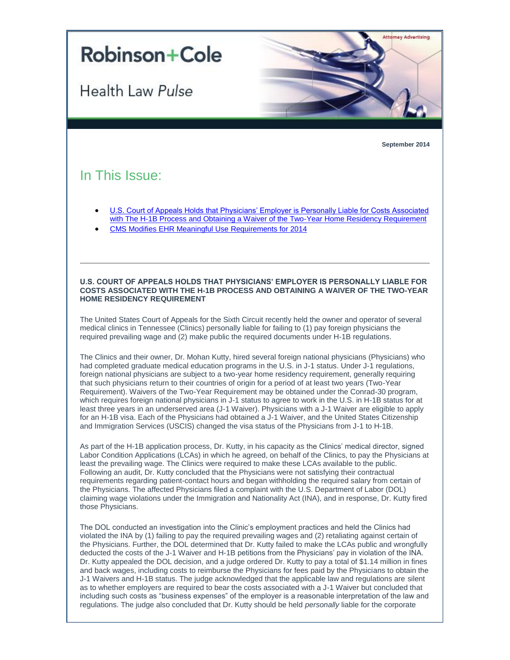

**September 2014**

## In This Issue:

Health Law Pulse

- [U.S. Court of Appeals Holds that Physicians' Employer is Personally Liable for Costs Associated](#page-0-0)  [with The H-1B Process and Obtaining a Waiver of the Two-Year Home Residency Requirement](#page-0-0)
- [CMS Modifies EHR Meaningful Use](#page-1-0) Requirements for 2014

## <span id="page-0-0"></span>**U.S. COURT OF APPEALS HOLDS THAT PHYSICIANS' EMPLOYER IS PERSONALLY LIABLE FOR COSTS ASSOCIATED WITH THE H-1B PROCESS AND OBTAINING A WAIVER OF THE TWO-YEAR HOME RESIDENCY REQUIREMENT**

The United States Court of Appeals for the Sixth Circuit recently held the owner and operator of several medical clinics in Tennessee (Clinics) personally liable for failing to (1) pay foreign physicians the required prevailing wage and (2) make public the required documents under H-1B regulations.

The Clinics and their owner, Dr. Mohan Kutty, hired several foreign national physicians (Physicians) who had completed graduate medical education programs in the U.S. in J-1 status. Under J-1 regulations, foreign national physicians are subject to a two-year home residency requirement, generally requiring that such physicians return to their countries of origin for a period of at least two years (Two-Year Requirement). Waivers of the Two-Year Requirement may be obtained under the Conrad-30 program, which requires foreign national physicians in J-1 status to agree to work in the U.S. in H-1B status for at least three years in an underserved area (J-1 Waiver). Physicians with a J-1 Waiver are eligible to apply for an H-1B visa. Each of the Physicians had obtained a J-1 Waiver, and the United States Citizenship and Immigration Services (USCIS) changed the visa status of the Physicians from J-1 to H-1B.

As part of the H-1B application process, Dr. Kutty, in his capacity as the Clinics' medical director, signed Labor Condition Applications (LCAs) in which he agreed, on behalf of the Clinics, to pay the Physicians at least the prevailing wage. The Clinics were required to make these LCAs available to the public. Following an audit, Dr. Kutty concluded that the Physicians were not satisfying their contractual requirements regarding patient-contact hours and began withholding the required salary from certain of the Physicians. The affected Physicians filed a complaint with the U.S. Department of Labor (DOL) claiming wage violations under the Immigration and Nationality Act (INA), and in response, Dr. Kutty fired those Physicians.

The DOL conducted an investigation into the Clinic's employment practices and held the Clinics had violated the INA by (1) failing to pay the required prevailing wages and (2) retaliating against certain of the Physicians. Further, the DOL determined that Dr. Kutty failed to make the LCAs public and wrongfully deducted the costs of the J-1 Waiver and H-1B petitions from the Physicians' pay in violation of the INA. Dr. Kutty appealed the DOL decision, and a judge ordered Dr. Kutty to pay a total of \$1.14 million in fines and back wages, including costs to reimburse the Physicians for fees paid by the Physicians to obtain the J-1 Waivers and H-1B status. The judge acknowledged that the applicable law and regulations are silent as to whether employers are required to bear the costs associated with a J-1 Waiver but concluded that including such costs as "business expenses" of the employer is a reasonable interpretation of the law and regulations. The judge also concluded that Dr. Kutty should be held *personally* liable for the corporate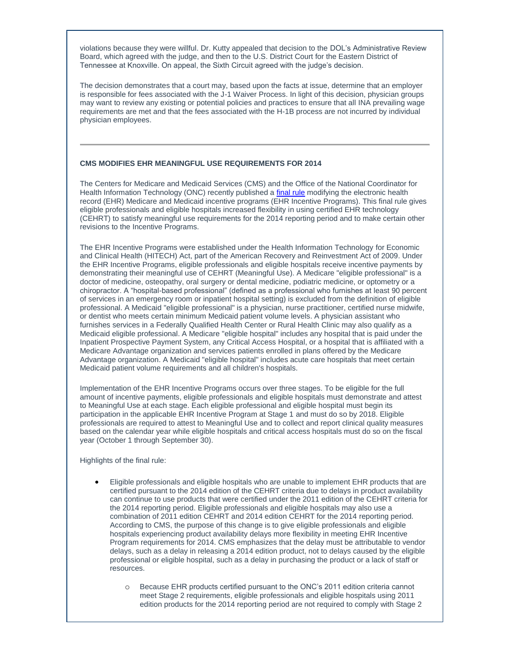violations because they were willful. Dr. Kutty appealed that decision to the DOL's Administrative Review Board, which agreed with the judge, and then to the U.S. District Court for the Eastern District of Tennessee at Knoxville. On appeal, the Sixth Circuit agreed with the judge's decision.

The decision demonstrates that a court may, based upon the facts at issue, determine that an employer is responsible for fees associated with the J-1 Waiver Process. In light of this decision, physician groups may want to review any existing or potential policies and practices to ensure that all INA prevailing wage requirements are met and that the fees associated with the H-1B process are not incurred by individual physician employees.

## <span id="page-1-0"></span>**CMS MODIFIES EHR MEANINGFUL USE REQUIREMENTS FOR 2014**

The Centers for Medicare and Medicaid Services (CMS) and the Office of the National Coordinator for Health Information Technology (ONC) recently published a [final rule](http://t2806904.omkt.co/track.aspx?id=402|2AD478|6F10|19C|76A|0|543|1|67F8634E&destination=http%3a%2f%2fwww.gpo.gov%2ffdsys%2fpkg%2fFR-2014-09-04%2fpdf%2f2014-21021.pdf&dchk=781978F6) modifying the electronic health record (EHR) Medicare and Medicaid incentive programs (EHR Incentive Programs). This final rule gives eligible professionals and eligible hospitals increased flexibility in using certified EHR technology (CEHRT) to satisfy meaningful use requirements for the 2014 reporting period and to make certain other revisions to the Incentive Programs.

The EHR Incentive Programs were established under the Health Information Technology for Economic and Clinical Health (HITECH) Act, part of the American Recovery and Reinvestment Act of 2009. Under the EHR Incentive Programs, eligible professionals and eligible hospitals receive incentive payments by demonstrating their meaningful use of CEHRT (Meaningful Use). A Medicare "eligible professional" is a doctor of medicine, osteopathy, oral surgery or dental medicine, podiatric medicine, or optometry or a chiropractor. A "hospital-based professional" (defined as a professional who furnishes at least 90 percent of services in an emergency room or inpatient hospital setting) is excluded from the definition of eligible professional. A Medicaid "eligible professional" is a physician, nurse practitioner, certified nurse midwife, or dentist who meets certain minimum Medicaid patient volume levels. A physician assistant who furnishes services in a Federally Qualified Health Center or Rural Health Clinic may also qualify as a Medicaid eligible professional. A Medicare "eligible hospital" includes any hospital that is paid under the Inpatient Prospective Payment System, any Critical Access Hospital, or a hospital that is affiliated with a Medicare Advantage organization and services patients enrolled in plans offered by the Medicare Advantage organization. A Medicaid "eligible hospital" includes acute care hospitals that meet certain Medicaid patient volume requirements and all children's hospitals.

Implementation of the EHR Incentive Programs occurs over three stages. To be eligible for the full amount of incentive payments, eligible professionals and eligible hospitals must demonstrate and attest to Meaningful Use at each stage. Each eligible professional and eligible hospital must begin its participation in the applicable EHR Incentive Program at Stage 1 and must do so by 2018. Eligible professionals are required to attest to Meaningful Use and to collect and report clinical quality measures based on the calendar year while eligible hospitals and critical access hospitals must do so on the fiscal year (October 1 through September 30).

Highlights of the final rule:

- Eligible professionals and eligible hospitals who are unable to implement EHR products that are certified pursuant to the 2014 edition of the CEHRT criteria due to delays in product availability can continue to use products that were certified under the 2011 edition of the CEHRT criteria for the 2014 reporting period. Eligible professionals and eligible hospitals may also use a combination of 2011 edition CEHRT and 2014 edition CEHRT for the 2014 reporting period. According to CMS, the purpose of this change is to give eligible professionals and eligible hospitals experiencing product availability delays more flexibility in meeting EHR Incentive Program requirements for 2014. CMS emphasizes that the delay must be attributable to vendor delays, such as a delay in releasing a 2014 edition product, not to delays caused by the eligible professional or eligible hospital, such as a delay in purchasing the product or a lack of staff or resources.
	- o Because EHR products certified pursuant to the ONC's 2011 edition criteria cannot meet Stage 2 requirements, eligible professionals and eligible hospitals using 2011 edition products for the 2014 reporting period are not required to comply with Stage 2